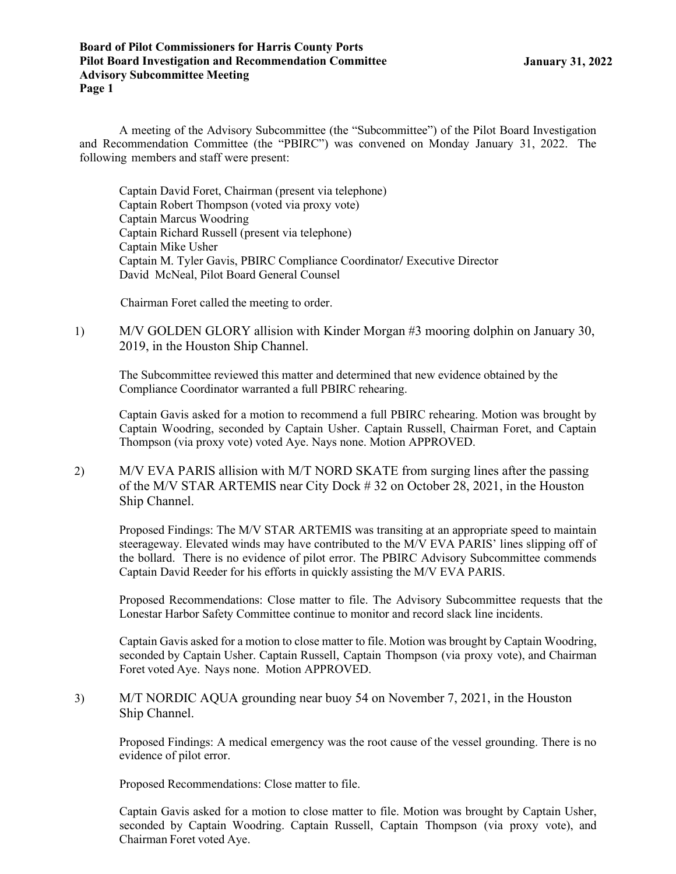A meeting of the Advisory Subcommittee (the "Subcommittee") of the Pilot Board Investigation and Recommendation Committee (the "PBIRC") was convened on Monday January 31, 2022. The following members and staff were present:

Captain David Foret, Chairman (present via telephone) Captain Robert Thompson (voted via proxy vote) Captain Marcus Woodring Captain Richard Russell (present via telephone) Captain Mike Usher Captain M. Tyler Gavis, PBIRC Compliance Coordinator/ Executive Director David McNeal, Pilot Board General Counsel

Chairman Foret called the meeting to order.

1) M/V GOLDEN GLORY allision with Kinder Morgan #3 mooring dolphin on January 30, 2019, in the Houston Ship Channel.

The Subcommittee reviewed this matter and determined that new evidence obtained by the Compliance Coordinator warranted a full PBIRC rehearing.

Captain Gavis asked for a motion to recommend a full PBIRC rehearing. Motion was brought by Captain Woodring, seconded by Captain Usher. Captain Russell, Chairman Foret, and Captain Thompson (via proxy vote) voted Aye. Nays none. Motion APPROVED.

2) M/V EVA PARIS allision with M/T NORD SKATE from surging lines after the passing of the M/V STAR ARTEMIS near City Dock # 32 on October 28, 2021, in the Houston Ship Channel.

Proposed Findings: The M/V STAR ARTEMIS was transiting at an appropriate speed to maintain steerageway. Elevated winds may have contributed to the M/V EVA PARIS' lines slipping off of the bollard. There is no evidence of pilot error. The PBIRC Advisory Subcommittee commends Captain David Reeder for his efforts in quickly assisting the M/V EVA PARIS.

Proposed Recommendations: Close matter to file. The Advisory Subcommittee requests that the Lonestar Harbor Safety Committee continue to monitor and record slack line incidents.

Captain Gavis asked for a motion to close matter to file. Motion was brought by Captain Woodring, seconded by Captain Usher. Captain Russell, Captain Thompson (via proxy vote), and Chairman Foret voted Aye. Nays none. Motion APPROVED.

3) M/T NORDIC AQUA grounding near buoy 54 on November 7, 2021, in the Houston Ship Channel.

Proposed Findings: A medical emergency was the root cause of the vessel grounding. There is no evidence of pilot error.

Proposed Recommendations: Close matter to file.

Captain Gavis asked for a motion to close matter to file. Motion was brought by Captain Usher, seconded by Captain Woodring. Captain Russell, Captain Thompson (via proxy vote), and Chairman Foret voted Aye.